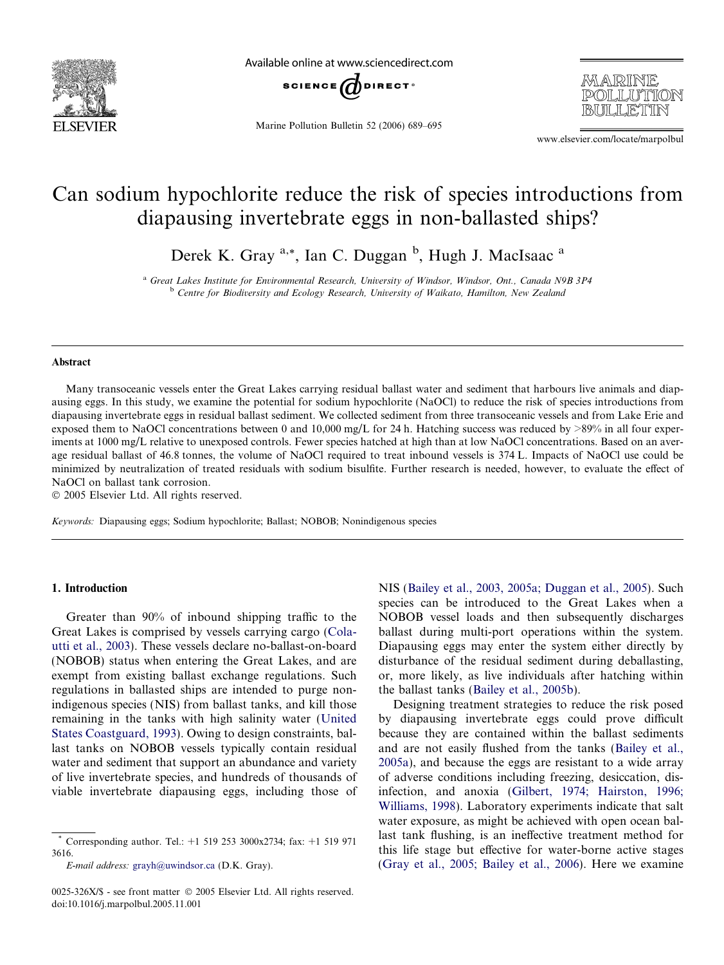

Available online at www.sciencedirect.com



Marine Pollution Bulletin 52 (2006) 689–695

MARINE POLLUTION RII I FIIN

www.elsevier.com/locate/marpolbul

# Can sodium hypochlorite reduce the risk of species introductions from diapausing invertebrate eggs in non-ballasted ships?

Derek K. Gray <sup>a,\*</sup>, Ian C. Duggan <sup>b</sup>, Hugh J. MacIsaac <sup>a</sup>

<sup>a</sup> Great Lakes Institute for Environmental Research, University of Windsor, Windsor, Ont., Canada N9B 3P4 <sup>b</sup> Centre for Biodiversity and Ecology Research, University of Waikato, Hamilton, New Zealand

#### Abstract

Many transoceanic vessels enter the Great Lakes carrying residual ballast water and sediment that harbours live animals and diapausing eggs. In this study, we examine the potential for sodium hypochlorite (NaOCl) to reduce the risk of species introductions from diapausing invertebrate eggs in residual ballast sediment. We collected sediment from three transoceanic vessels and from Lake Erie and exposed them to NaOCl concentrations between 0 and 10,000 mg/L for 24 h. Hatching success was reduced by  $>89\%$  in all four experiments at 1000 mg/L relative to unexposed controls. Fewer species hatched at high than at low NaOCl concentrations. Based on an average residual ballast of 46.8 tonnes, the volume of NaOCl required to treat inbound vessels is 374 L. Impacts of NaOCl use could be minimized by neutralization of treated residuals with sodium bisulfite. Further research is needed, however, to evaluate the effect of NaOCl on ballast tank corrosion.

 $© 2005 Elsevier Ltd. All rights reserved.$ 

Keywords: Diapausing eggs; Sodium hypochlorite; Ballast; NOBOB; Nonindigenous species

#### 1. Introduction

Greater than 90% of inbound shipping traffic to the Great Lakes is comprised by vessels carrying cargo ([Cola](#page-6-0)[utti et al., 2003](#page-6-0)). These vessels declare no-ballast-on-board (NOBOB) status when entering the Great Lakes, and are exempt from existing ballast exchange regulations. Such regulations in ballasted ships are intended to purge nonindigenous species (NIS) from ballast tanks, and kill those remaining in the tanks with high salinity water ([United](#page-6-0) [States Coastguard, 1993](#page-6-0)). Owing to design constraints, ballast tanks on NOBOB vessels typically contain residual water and sediment that support an abundance and variety of live invertebrate species, and hundreds of thousands of viable invertebrate diapausing eggs, including those of

\* Corresponding author. Tel.: +1 519 253 3000x2734; fax: +1 519 971 3616.

E-mail address: [grayh@uwindsor.ca](mailto:grayh@uwindsor.ca) (D.K. Gray).

NIS ([Bailey et al., 2003, 2005a; Duggan et al., 2005\)](#page-6-0). Such species can be introduced to the Great Lakes when a NOBOB vessel loads and then subsequently discharges ballast during multi-port operations within the system. Diapausing eggs may enter the system either directly by disturbance of the residual sediment during deballasting, or, more likely, as live individuals after hatching within the ballast tanks [\(Bailey et al., 2005b\)](#page-6-0).

Designing treatment strategies to reduce the risk posed by diapausing invertebrate eggs could prove difficult because they are contained within the ballast sediments and are not easily flushed from the tanks [\(Bailey et al.,](#page-6-0) [2005a](#page-6-0)), and because the eggs are resistant to a wide array of adverse conditions including freezing, desiccation, disinfection, and anoxia [\(Gilbert, 1974; Hairston, 1996;](#page-6-0) [Williams, 1998](#page-6-0)). Laboratory experiments indicate that salt water exposure, as might be achieved with open ocean ballast tank flushing, is an ineffective treatment method for this life stage but effective for water-borne active stages ([Gray et al., 2005; Bailey et al., 2006\)](#page-6-0). Here we examine

<sup>0025-326</sup>X/\$ - see front matter © 2005 Elsevier Ltd. All rights reserved. doi:10.1016/j.marpolbul.2005.11.001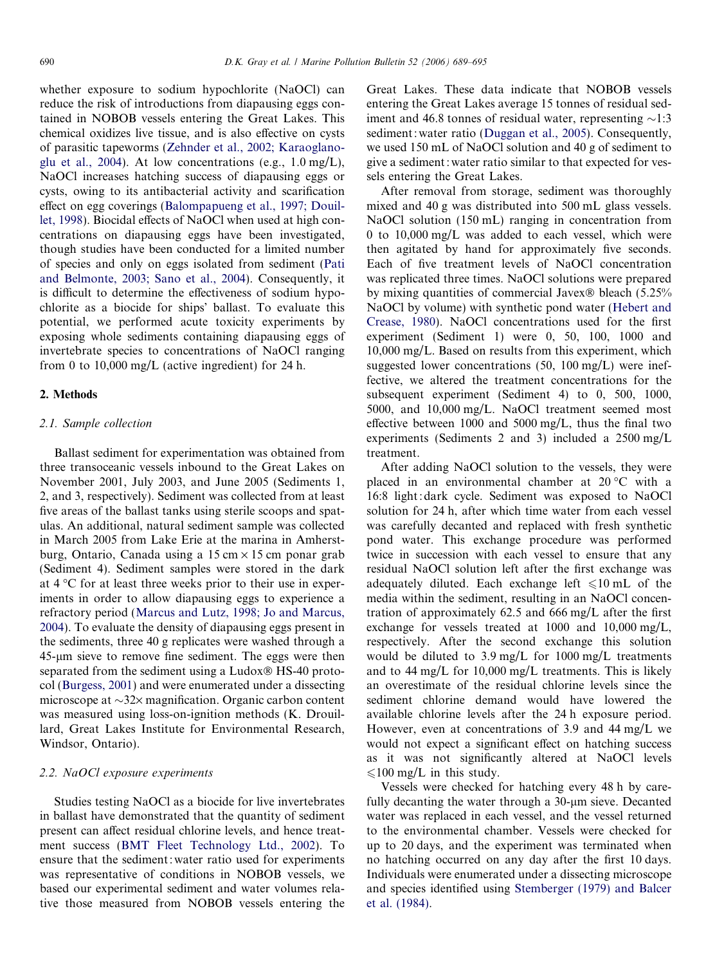whether exposure to sodium hypochlorite (NaOCl) can reduce the risk of introductions from diapausing eggs contained in NOBOB vessels entering the Great Lakes. This chemical oxidizes live tissue, and is also effective on cysts of parasitic tapeworms [\(Zehnder et al., 2002; Karaoglano](#page-6-0)[glu et al., 2004](#page-6-0)). At low concentrations (e.g., 1.0 mg/L), NaOCl increases hatching success of diapausing eggs or cysts, owing to its antibacterial activity and scarification effect on egg coverings ([Balompapueng et al., 1997; Douil](#page-6-0)[let, 1998](#page-6-0)). Biocidal effects of NaOCl when used at high concentrations on diapausing eggs have been investigated, though studies have been conducted for a limited number of species and only on eggs isolated from sediment ([Pati](#page-6-0) [and Belmonte, 2003; Sano et al., 2004](#page-6-0)). Consequently, it is difficult to determine the effectiveness of sodium hypochlorite as a biocide for ships' ballast. To evaluate this potential, we performed acute toxicity experiments by exposing whole sediments containing diapausing eggs of invertebrate species to concentrations of NaOCl ranging from 0 to 10,000 mg/L (active ingredient) for 24 h.

## 2. Methods

## 2.1. Sample collection

Ballast sediment for experimentation was obtained from three transoceanic vessels inbound to the Great Lakes on November 2001, July 2003, and June 2005 (Sediments 1, 2, and 3, respectively). Sediment was collected from at least five areas of the ballast tanks using sterile scoops and spatulas. An additional, natural sediment sample was collected in March 2005 from Lake Erie at the marina in Amherstburg, Ontario, Canada using a  $15 \text{ cm} \times 15 \text{ cm}$  ponar grab (Sediment 4). Sediment samples were stored in the dark at  $4^{\circ}$ C for at least three weeks prior to their use in experiments in order to allow diapausing eggs to experience a refractory period ([Marcus and Lutz, 1998; Jo and Marcus,](#page-6-0) [2004\)](#page-6-0). To evaluate the density of diapausing eggs present in the sediments, three 40 g replicates were washed through a 45-lm sieve to remove fine sediment. The eggs were then separated from the sediment using a Ludox $\circledR$  HS-40 protocol [\(Burgess, 2001](#page-6-0)) and were enumerated under a dissecting microscope at  ${\sim}32{\times}$  magnification. Organic carbon content was measured using loss-on-ignition methods (K. Drouillard, Great Lakes Institute for Environmental Research, Windsor, Ontario).

### 2.2. NaOCl exposure experiments

Studies testing NaOCl as a biocide for live invertebrates in ballast have demonstrated that the quantity of sediment present can affect residual chlorine levels, and hence treatment success ([BMT Fleet Technology Ltd., 2002](#page-6-0)). To ensure that the sediment: water ratio used for experiments was representative of conditions in NOBOB vessels, we based our experimental sediment and water volumes relative those measured from NOBOB vessels entering the Great Lakes. These data indicate that NOBOB vessels entering the Great Lakes average 15 tonnes of residual sediment and 46.8 tonnes of residual water, representing  $\sim$ 1:3 sediment: water ratio [\(Duggan et al., 2005\)](#page-6-0). Consequently, we used 150 mL of NaOCl solution and 40 g of sediment to give a sediment: water ratio similar to that expected for vessels entering the Great Lakes.

After removal from storage, sediment was thoroughly mixed and 40 g was distributed into 500 mL glass vessels. NaOCl solution (150 mL) ranging in concentration from 0 to 10,000 mg/L was added to each vessel, which were then agitated by hand for approximately five seconds. Each of five treatment levels of NaOCl concentration was replicated three times. NaOCl solutions were prepared by mixing quantities of commercial Javex $\circledR$  bleach (5.25%) NaOCl by volume) with synthetic pond water [\(Hebert and](#page-6-0) [Crease, 1980](#page-6-0)). NaOCl concentrations used for the first experiment (Sediment 1) were 0, 50, 100, 1000 and 10,000 mg/L. Based on results from this experiment, which suggested lower concentrations (50, 100 mg/L) were ineffective, we altered the treatment concentrations for the subsequent experiment (Sediment 4) to 0, 500, 1000, 5000, and 10,000 mg/L. NaOCl treatment seemed most effective between 1000 and 5000 mg/L, thus the final two experiments (Sediments 2 and 3) included a 2500 mg/L treatment.

After adding NaOCl solution to the vessels, they were placed in an environmental chamber at  $20^{\circ}$ C with a 16:8 light: dark cycle. Sediment was exposed to NaOCl solution for 24 h, after which time water from each vessel was carefully decanted and replaced with fresh synthetic pond water. This exchange procedure was performed twice in succession with each vessel to ensure that any residual NaOCl solution left after the first exchange was adequately diluted. Each exchange left  $\leq 10$  mL of the media within the sediment, resulting in an NaOCl concentration of approximately 62.5 and 666 mg/L after the first exchange for vessels treated at 1000 and 10,000 mg/L, respectively. After the second exchange this solution would be diluted to 3.9 mg/L for 1000 mg/L treatments and to 44 mg/L for 10,000 mg/L treatments. This is likely an overestimate of the residual chlorine levels since the sediment chlorine demand would have lowered the available chlorine levels after the 24 h exposure period. However, even at concentrations of 3.9 and 44 mg/L we would not expect a significant effect on hatching success as it was not significantly altered at NaOCl levels  $\leq 100$  mg/L in this study.

Vessels were checked for hatching every 48 h by carefully decanting the water through a  $30$ - $\mu$ m sieve. Decanted water was replaced in each vessel, and the vessel returned to the environmental chamber. Vessels were checked for up to 20 days, and the experiment was terminated when no hatching occurred on any day after the first 10 days. Individuals were enumerated under a dissecting microscope and species identified using [Stemberger \(1979\) and Balcer](#page-6-0) [et al. \(1984\)](#page-6-0).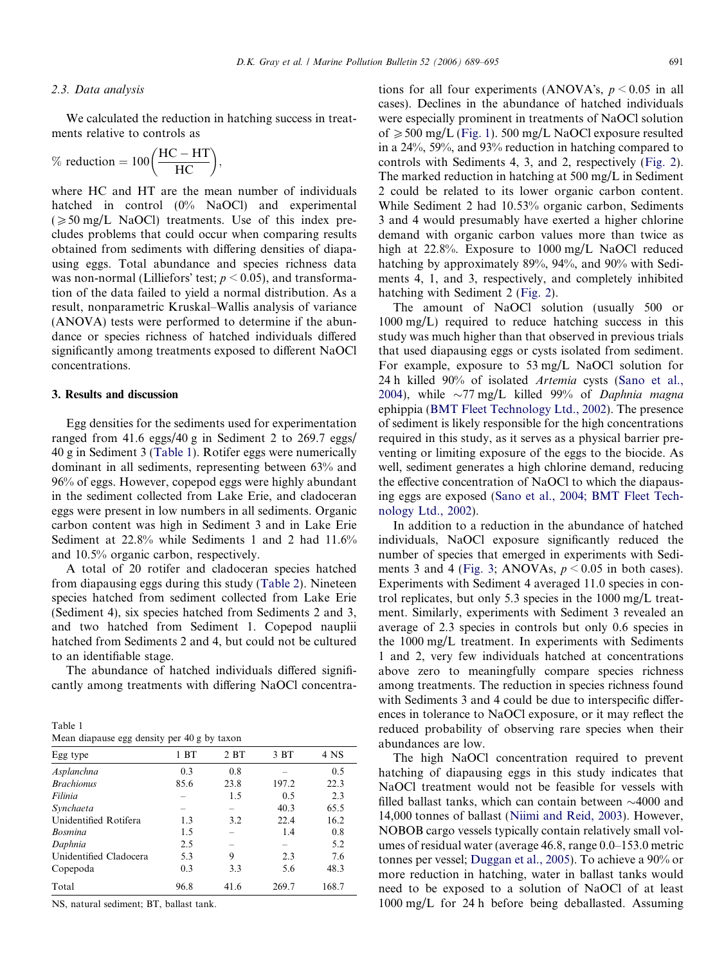### 2.3. Data analysis

We calculated the reduction in hatching success in treatments relative to controls as

% reduction = 
$$
100 \left( \frac{HC - HT}{HC} \right)
$$
,

where HC and HT are the mean number of individuals hatched in control (0% NaOCl) and experimental  $\epsilon \geqslant 50$  mg/L NaOCl) treatments. Use of this index precludes problems that could occur when comparing results obtained from sediments with differing densities of diapausing eggs. Total abundance and species richness data was non-normal (Lilliefors' test;  $p \leq 0.05$ ), and transformation of the data failed to yield a normal distribution. As a result, nonparametric Kruskal–Wallis analysis of variance (ANOVA) tests were performed to determine if the abundance or species richness of hatched individuals differed significantly among treatments exposed to different NaOCl concentrations.

## 3. Results and discussion

Egg densities for the sediments used for experimentation ranged from 41.6 eggs/40 g in Sediment 2 to 269.7 eggs/ 40 g in Sediment 3 (Table 1). Rotifer eggs were numerically dominant in all sediments, representing between 63% and 96% of eggs. However, copepod eggs were highly abundant in the sediment collected from Lake Erie, and cladoceran eggs were present in low numbers in all sediments. Organic carbon content was high in Sediment 3 and in Lake Erie Sediment at 22.8% while Sediments 1 and 2 had 11.6% and 10.5% organic carbon, respectively.

A total of 20 rotifer and cladoceran species hatched from diapausing eggs during this study [\(Table 2](#page-3-0)). Nineteen species hatched from sediment collected from Lake Erie (Sediment 4), six species hatched from Sediments 2 and 3, and two hatched from Sediment 1. Copepod nauplii hatched from Sediments 2 and 4, but could not be cultured to an identifiable stage.

The abundance of hatched individuals differed significantly among treatments with differing NaOCl concentra-

| Table 1 |                                             |  |  |  |
|---------|---------------------------------------------|--|--|--|
|         | Mean diapause egg density per 40 g by taxon |  |  |  |

| Egg type               | 1 BT | 2 BT | 3 BT  | 4 NS  |  |  |
|------------------------|------|------|-------|-------|--|--|
| Asplanchna             | 0.3  | 0.8  |       | 0.5   |  |  |
| <b>Brachionus</b>      | 85.6 | 23.8 | 197.2 | 22.3  |  |  |
| Filinia                |      | 1.5  | 0.5   | 2.3   |  |  |
| Synchaeta              |      | -    | 40.3  | 65.5  |  |  |
| Unidentified Rotifera  | 1.3  | 3.2  | 22.4  | 16.2  |  |  |
| <b>Bosmina</b>         | 1.5  |      | 1.4   | 0.8   |  |  |
| Daphnia                | 2.5  |      | -     | 5.2   |  |  |
| Unidentified Cladocera | 5.3  | 9    | 2.3   | 7.6   |  |  |
| Copepoda               | 0.3  | 3.3  | 5.6   | 48.3  |  |  |
| Total                  | 96.8 | 41.6 | 269.7 | 168.7 |  |  |

NS, natural sediment; BT, ballast tank.

tions for all four experiments (ANOVA's,  $p \le 0.05$  in all cases). Declines in the abundance of hatched individuals were especially prominent in treatments of NaOCl solution of  $\geq 500$  mg/L [\(Fig. 1\)](#page-4-0). 500 mg/L NaOCl exposure resulted in a 24%, 59%, and 93% reduction in hatching compared to controls with Sediments 4, 3, and 2, respectively ([Fig. 2\)](#page-4-0). The marked reduction in hatching at 500 mg/L in Sediment 2 could be related to its lower organic carbon content. While Sediment 2 had 10.53% organic carbon, Sediments 3 and 4 would presumably have exerted a higher chlorine demand with organic carbon values more than twice as high at 22.8%. Exposure to 1000 mg/L NaOCl reduced hatching by approximately 89%, 94%, and 90% with Sediments 4, 1, and 3, respectively, and completely inhibited hatching with Sediment 2 [\(Fig. 2\)](#page-4-0).

The amount of NaOCl solution (usually 500 or 1000 mg/L) required to reduce hatching success in this study was much higher than that observed in previous trials that used diapausing eggs or cysts isolated from sediment. For example, exposure to 53 mg/L NaOCl solution for 24 h killed 90% of isolated Artemia cysts [\(Sano et al.,](#page-6-0) [2004](#page-6-0)), while  $\sim$ 77 mg/L killed 99% of *Daphnia magna* ephippia [\(BMT Fleet Technology Ltd., 2002](#page-6-0)). The presence of sediment is likely responsible for the high concentrations required in this study, as it serves as a physical barrier preventing or limiting exposure of the eggs to the biocide. As well, sediment generates a high chlorine demand, reducing the effective concentration of NaOCl to which the diapausing eggs are exposed ([Sano et al., 2004; BMT Fleet Tech](#page-6-0)[nology Ltd., 2002](#page-6-0)).

In addition to a reduction in the abundance of hatched individuals, NaOCl exposure significantly reduced the number of species that emerged in experiments with Sedi-ments 3 and 4 ([Fig. 3;](#page-5-0) ANOVAs,  $p \le 0.05$  in both cases). Experiments with Sediment 4 averaged 11.0 species in control replicates, but only 5.3 species in the 1000 mg/L treatment. Similarly, experiments with Sediment 3 revealed an average of 2.3 species in controls but only 0.6 species in the 1000 mg/L treatment. In experiments with Sediments 1 and 2, very few individuals hatched at concentrations above zero to meaningfully compare species richness among treatments. The reduction in species richness found with Sediments 3 and 4 could be due to interspecific differences in tolerance to NaOCl exposure, or it may reflect the reduced probability of observing rare species when their abundances are low.

The high NaOCl concentration required to prevent hatching of diapausing eggs in this study indicates that NaOCl treatment would not be feasible for vessels with filled ballast tanks, which can contain between  $\sim$ 4000 and 14,000 tonnes of ballast [\(Niimi and Reid, 2003](#page-6-0)). However, NOBOB cargo vessels typically contain relatively small volumes of residual water (average 46.8, range 0.0–153.0 metric tonnes per vessel; [Duggan et al., 2005\)](#page-6-0). To achieve a 90% or more reduction in hatching, water in ballast tanks would need to be exposed to a solution of NaOCl of at least 1000 mg/L for 24 h before being deballasted. Assuming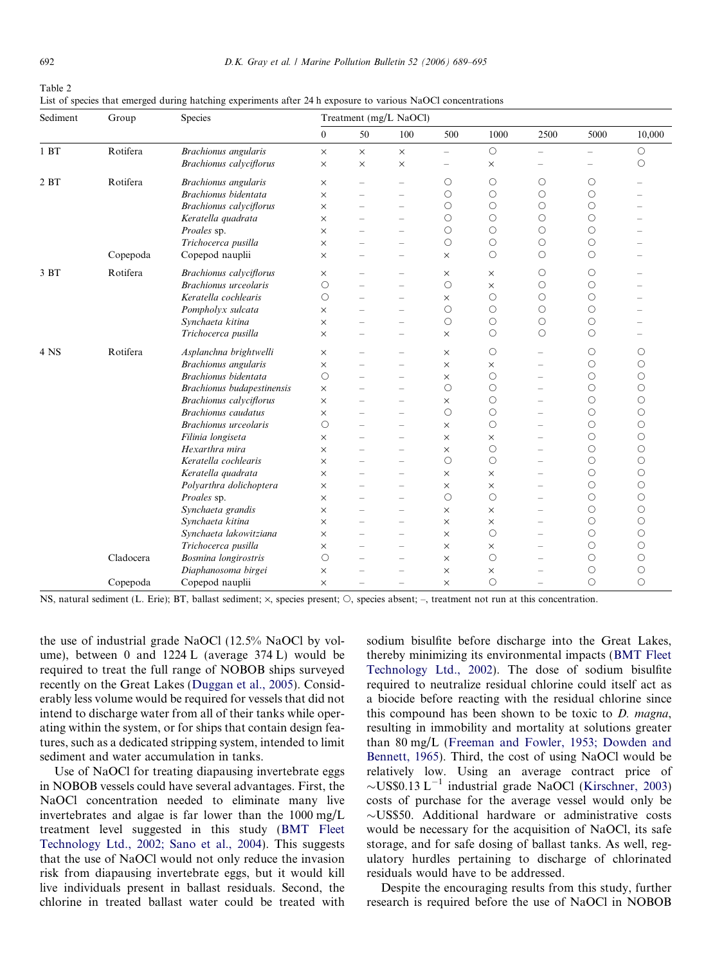<span id="page-3-0"></span>

| Table 2                                                                                                      |
|--------------------------------------------------------------------------------------------------------------|
| List of species that emerged during hatching experiments after 24 h exposure to various NaOCl concentrations |

| Sediment | Group     | Species                    | Treatment (mg/L NaOCl) |                          |                          |                          |            |                          |                          |                          |
|----------|-----------|----------------------------|------------------------|--------------------------|--------------------------|--------------------------|------------|--------------------------|--------------------------|--------------------------|
|          |           |                            | $\boldsymbol{0}$       | 50                       | 100                      | 500                      | 1000       | 2500                     | 5000                     | 10,000                   |
| 1BT      | Rotifera  | Brachionus angularis       | $\times$               | $\times$                 | $\times$                 |                          | $\circ$    | $\overline{\phantom{m}}$ | $\overline{\phantom{m}}$ | $\circ$                  |
|          |           | Brachionus calyciflorus    | $\times$               | $\times$                 | $\times$                 | $\overline{\phantom{0}}$ | $\times$   | $\overline{\phantom{0}}$ | $\overline{\phantom{0}}$ | $\circ$                  |
| 2 BT     | Rotifera  | Brachionus angularis       | $\times$               | $\overline{\phantom{a}}$ | $\overline{\phantom{0}}$ | $\bigcirc$               | $\bigcirc$ | $\circ$                  | $\circ$                  | $\overline{\phantom{0}}$ |
|          |           | Brachionus bidentata       | $\times$               |                          | $\overline{\phantom{0}}$ | $\circ$                  | $\circ$    | $\circ$                  | $\circ$                  | $\overline{\phantom{a}}$ |
|          |           | Brachionus calyciflorus    | $\times$               |                          | L.                       | $\circ$                  | $\circ$    | $\circ$                  | $\circ$                  |                          |
|          |           | Keratella quadrata         | $\times$               |                          | $\overline{\phantom{0}}$ | $\circ$                  | $\circ$    | $\circ$                  | $\circ$                  | $\overline{\phantom{a}}$ |
|          |           | Proales sp.                | $\times$               |                          | L.                       | $\circ$                  | $\circ$    | $\circ$                  | $\circ$                  |                          |
|          |           | Trichocerca pusilla        | $\times$               |                          | -                        | $\circ$                  | $\circ$    | $\circ$                  | $\circ$                  |                          |
|          | Copepoda  | Copepod nauplii            | $\times$               |                          | $\overline{\phantom{0}}$ | $\times$                 | $\circ$    | $\circ$                  | $\circ$                  |                          |
| 3 BT     | Rotifera  | Brachionus calyciflorus    | ×                      |                          | $\overline{\phantom{0}}$ | $\times$                 | $\times$   | $\circ$                  | $\circ$                  |                          |
|          |           | Brachionus urceolaris      | $\circ$                |                          | $\overline{\phantom{a}}$ | $\circ$                  | $\times$   | $\circ$                  | $\circ$                  | $\overline{\phantom{a}}$ |
|          |           | Keratella cochlearis       | $\circ$                |                          | $\overline{\phantom{0}}$ | $\times$                 | $\circ$    | $\circ$                  | $\circ$                  | $\overline{\phantom{a}}$ |
|          |           | Pompholyx sulcata          | $\times$               |                          | $\overline{\phantom{a}}$ | $\circ$                  | $\circ$    | $\circ$                  | $\circ$                  | -                        |
|          |           | Synchaeta kitina           | $\times$               |                          | $\overline{\phantom{0}}$ | $\circ$                  | $\circ$    | $\circ$                  | $\circ$                  |                          |
|          |           | Trichocerca pusilla        | $\times$               |                          |                          | $\times$                 | $\circ$    | О                        | $\bigcirc$               |                          |
| 4 NS     | Rotifera  | Asplanchna brightwelli     | $\times$               |                          | $\overline{\phantom{0}}$ | $\times$                 | $\circ$    | $\overline{\phantom{0}}$ | $\circ$                  | $\circ$                  |
|          |           | Brachionus angularis       | $\times$               |                          | $\overline{\phantom{0}}$ | $\times$                 | $\times$   | $\overline{\phantom{m}}$ | $\circ$                  | $\circ$                  |
|          |           | Brachionus bidentata       | $\circ$                |                          | $\overline{\phantom{0}}$ | $\times$                 | $\circ$    | $\overline{\phantom{m}}$ | $\circ$                  | $\circ$                  |
|          |           | Brachionus budapestinensis | X                      |                          | $\overline{\phantom{0}}$ | $\circ$                  | $\circ$    | $\overline{\phantom{m}}$ | $\circ$                  | $\circ$                  |
|          |           | Brachionus calyciflorus    | $\times$               |                          | L.                       | $\times$                 | $\circ$    |                          | $\circ$                  | $\circ$                  |
|          |           | Brachionus caudatus        | $\times$               |                          | $\overline{\phantom{a}}$ | $\circ$                  | $\circ$    | $\overline{\phantom{a}}$ | $\circ$                  | $\circ$                  |
|          |           | Brachionus urceolaris      | $\circ$                |                          | $\overline{\phantom{0}}$ | $\times$                 | $\circ$    | $\overline{\phantom{0}}$ | $\circ$                  | $\circ$                  |
|          |           | Filinia longiseta          | $\times$               |                          | L.                       | $\times$                 | $\times$   | $\overline{\phantom{m}}$ | $\circ$                  | $\circ$                  |
|          |           | Hexarthra mira             | $\times$               |                          | $\overline{\phantom{0}}$ | $\times$                 | $\circ$    | $\overline{\phantom{0}}$ | $\circ$                  | $\circ$                  |
|          |           | Keratella cochlearis       | $\times$               |                          | $\overline{\phantom{0}}$ | $\circ$                  | $\circ$    | $\overline{\phantom{0}}$ | $\circ$                  | $\circ$                  |
|          |           | Keratella quadrata         | $\times$               |                          | $\overline{\phantom{0}}$ | $\times$                 | $\times$   | $\overline{\phantom{a}}$ | $\circ$                  | $\circ$                  |
|          |           | Polyarthra dolichoptera    | $\times$               |                          | $\overline{\phantom{0}}$ | $\times$                 | $\times$   | $\overline{\phantom{m}}$ | $\circ$                  | $\circ$                  |
|          |           | Proales sp.                | $\times$               |                          | $\overline{\phantom{0}}$ | $\circ$                  | $\circ$    | $\overline{\phantom{0}}$ | $\circ$                  | $\circ$                  |
|          |           | Synchaeta grandis          | $\times$               |                          | $\overline{\phantom{0}}$ | $\times$                 | $\times$   | $\overline{\phantom{m}}$ | $\circ$                  | $\circ$                  |
|          |           | Synchaeta kitina           | $\times$               |                          | $\overline{\phantom{0}}$ | $\times$                 | $\times$   | $\overline{\phantom{m}}$ | $\circ$                  | $\circ$                  |
|          |           | Synchaeta lakowitziana     | $\times$               |                          | $\overline{\phantom{0}}$ | $\times$                 | $\circ$    | $\overline{\phantom{a}}$ | $\circ$                  | $\circ$                  |
|          |           | Trichocerca pusilla        | $\times$               |                          | $\overline{\phantom{0}}$ | $\times$                 | $\times$   | $\overline{\phantom{m}}$ | $\circ$                  | $\circ$                  |
|          | Cladocera | Bosmina longirostris       | $\circ$                |                          | $\overline{\phantom{0}}$ | $\times$                 | $\circ$    | $\overline{\phantom{a}}$ | $\circ$                  | $\circ$                  |
|          |           | Diaphanosoma birgei        | $\times$               |                          | $\overline{\phantom{a}}$ | $\times$                 | $\times$   | $\overline{\phantom{a}}$ | $\circ$                  | $\circ$                  |
|          | Copepoda  | Copepod nauplii            | $\times$               |                          | $\overline{\phantom{0}}$ | $\times$                 | $\circ$    | $\overline{\phantom{0}}$ | $\circ$                  | $\circ$                  |

NS, natural sediment (L. Erie); BT, ballast sediment;  $\times$ , species present;  $\circ$ , species absent;  $-$ , treatment not run at this concentration.

the use of industrial grade NaOCl (12.5% NaOCl by volume), between 0 and 1224 L (average 374 L) would be required to treat the full range of NOBOB ships surveyed recently on the Great Lakes ([Duggan et al., 2005](#page-6-0)). Considerably less volume would be required for vessels that did not intend to discharge water from all of their tanks while operating within the system, or for ships that contain design features, such as a dedicated stripping system, intended to limit sediment and water accumulation in tanks.

Use of NaOCl for treating diapausing invertebrate eggs in NOBOB vessels could have several advantages. First, the NaOCl concentration needed to eliminate many live invertebrates and algae is far lower than the 1000 mg/L treatment level suggested in this study [\(BMT Fleet](#page-6-0) [Technology Ltd., 2002; Sano et al., 2004](#page-6-0)). This suggests that the use of NaOCl would not only reduce the invasion risk from diapausing invertebrate eggs, but it would kill live individuals present in ballast residuals. Second, the chlorine in treated ballast water could be treated with

sodium bisulfite before discharge into the Great Lakes, thereby minimizing its environmental impacts ([BMT Fleet](#page-6-0) [Technology Ltd., 2002](#page-6-0)). The dose of sodium bisulfite required to neutralize residual chlorine could itself act as a biocide before reacting with the residual chlorine since this compound has been shown to be toxic to  $D$ . magna, resulting in immobility and mortality at solutions greater than 80 mg/L [\(Freeman and Fowler, 1953; Dowden and](#page-6-0) [Bennett, 1965](#page-6-0)). Third, the cost of using NaOCl would be relatively low. Using an average contract price of  $\sim$ US\$0.13 L<sup>-1</sup> industrial grade NaOCl [\(Kirschner, 2003](#page-6-0)) costs of purchase for the average vessel would only be  $\sim$ US\$50. Additional hardware or administrative costs would be necessary for the acquisition of NaOCl, its safe storage, and for safe dosing of ballast tanks. As well, regulatory hurdles pertaining to discharge of chlorinated residuals would have to be addressed.

Despite the encouraging results from this study, further research is required before the use of NaOCl in NOBOB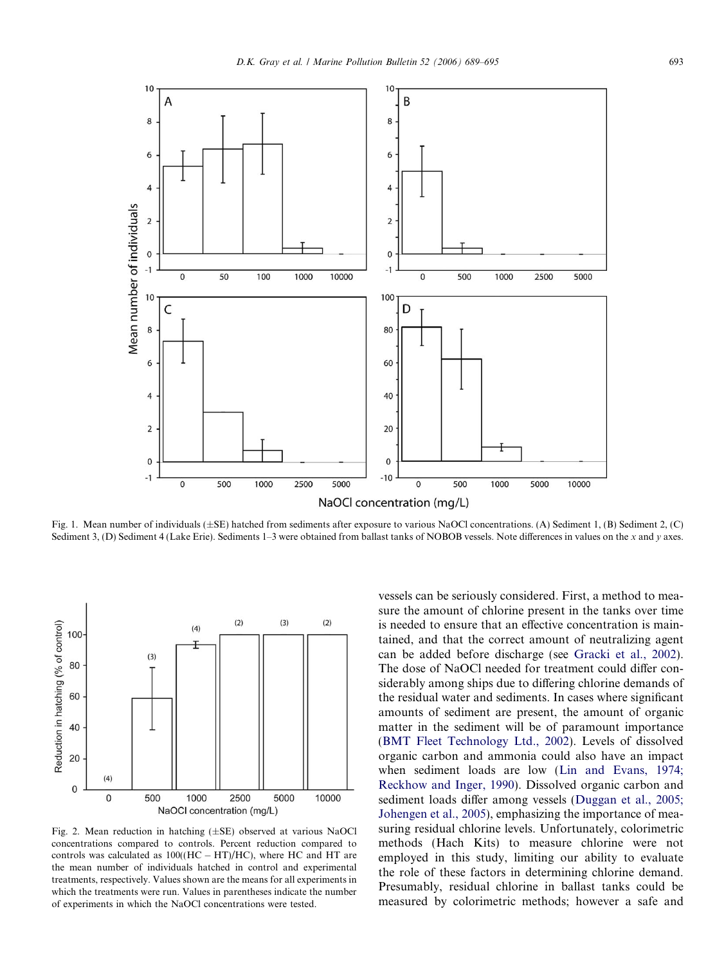<span id="page-4-0"></span>

Fig. 1. Mean number of individuals (±SE) hatched from sediments after exposure to various NaOCl concentrations. (A) Sediment 1, (B) Sediment 2, (C) Sediment 3, (D) Sediment 4 (Lake Erie). Sediments 1–3 were obtained from ballast tanks of NOBOB vessels. Note differences in values on the x and y axes.



Fig. 2. Mean reduction in hatching  $(\pm SE)$  observed at various NaOCl concentrations compared to controls. Percent reduction compared to controls was calculated as  $100((HC - HT)/HC)$ , where HC and HT are the mean number of individuals hatched in control and experimental treatments, respectively. Values shown are the means for all experiments in which the treatments were run. Values in parentheses indicate the number of experiments in which the NaOCl concentrations were tested.

vessels can be seriously considered. First, a method to measure the amount of chlorine present in the tanks over time is needed to ensure that an effective concentration is maintained, and that the correct amount of neutralizing agent can be added before discharge (see [Gracki et al., 2002\)](#page-6-0). The dose of NaOCl needed for treatment could differ considerably among ships due to differing chlorine demands of the residual water and sediments. In cases where significant amounts of sediment are present, the amount of organic matter in the sediment will be of paramount importance ([BMT Fleet Technology Ltd., 2002](#page-6-0)). Levels of dissolved organic carbon and ammonia could also have an impact when sediment loads are low [\(Lin and Evans, 1974;](#page-6-0) [Reckhow and Inger, 1990](#page-6-0)). Dissolved organic carbon and sediment loads differ among vessels [\(Duggan et al., 2005;](#page-6-0) [Johengen et al., 2005\)](#page-6-0), emphasizing the importance of measuring residual chlorine levels. Unfortunately, colorimetric methods (Hach Kits) to measure chlorine were not employed in this study, limiting our ability to evaluate the role of these factors in determining chlorine demand. Presumably, residual chlorine in ballast tanks could be measured by colorimetric methods; however a safe and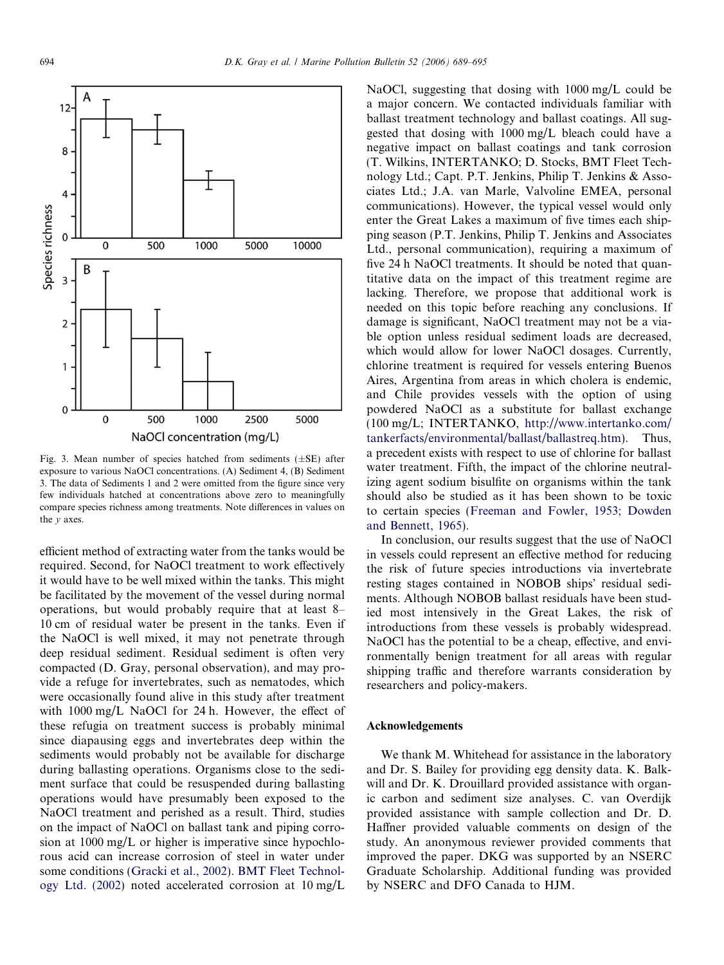<span id="page-5-0"></span>

Fig. 3. Mean number of species hatched from sediments  $(\pm SE)$  after exposure to various NaOCl concentrations. (A) Sediment 4, (B) Sediment 3. The data of Sediments 1 and 2 were omitted from the figure since very few individuals hatched at concentrations above zero to meaningfully compare species richness among treatments. Note differences in values on the  $y$  axes.

efficient method of extracting water from the tanks would be required. Second, for NaOCl treatment to work effectively it would have to be well mixed within the tanks. This might be facilitated by the movement of the vessel during normal operations, but would probably require that at least 8– 10 cm of residual water be present in the tanks. Even if the NaOCl is well mixed, it may not penetrate through deep residual sediment. Residual sediment is often very compacted (D. Gray, personal observation), and may provide a refuge for invertebrates, such as nematodes, which were occasionally found alive in this study after treatment with 1000 mg/L NaOCl for 24 h. However, the effect of these refugia on treatment success is probably minimal since diapausing eggs and invertebrates deep within the sediments would probably not be available for discharge during ballasting operations. Organisms close to the sediment surface that could be resuspended during ballasting operations would have presumably been exposed to the NaOCl treatment and perished as a result. Third, studies on the impact of NaOCl on ballast tank and piping corrosion at 1000 mg/L or higher is imperative since hypochlorous acid can increase corrosion of steel in water under some conditions [\(Gracki et al., 2002\)](#page-6-0). [BMT Fleet Technol](#page-6-0)[ogy Ltd. \(2002\)](#page-6-0) noted accelerated corrosion at 10 mg/L NaOCl, suggesting that dosing with 1000 mg/L could be a major concern. We contacted individuals familiar with ballast treatment technology and ballast coatings. All suggested that dosing with 1000 mg/L bleach could have a negative impact on ballast coatings and tank corrosion (T. Wilkins, INTERTANKO; D. Stocks, BMT Fleet Technology Ltd.; Capt. P.T. Jenkins, Philip T. Jenkins & Associates Ltd.; J.A. van Marle, Valvoline EMEA, personal communications). However, the typical vessel would only enter the Great Lakes a maximum of five times each shipping season (P.T. Jenkins, Philip T. Jenkins and Associates Ltd., personal communication), requiring a maximum of five 24 h NaOCl treatments. It should be noted that quantitative data on the impact of this treatment regime are lacking. Therefore, we propose that additional work is needed on this topic before reaching any conclusions. If damage is significant, NaOCl treatment may not be a viable option unless residual sediment loads are decreased, which would allow for lower NaOCl dosages. Currently, chlorine treatment is required for vessels entering Buenos Aires, Argentina from areas in which cholera is endemic, and Chile provides vessels with the option of using powdered NaOCl as a substitute for ballast exchange (100 mg/L; INTERTANKO, [http://www.intertanko.com/](http://www.intertanko.com/tankerfacts/environmental/ballast/ballastreq.htm) [tankerfacts/environmental/ballast/ballastreq.htm](http://www.intertanko.com/tankerfacts/environmental/ballast/ballastreq.htm)). Thus, a precedent exists with respect to use of chlorine for ballast water treatment. Fifth, the impact of the chlorine neutralizing agent sodium bisulfite on organisms within the tank should also be studied as it has been shown to be toxic to certain species ([Freeman and Fowler, 1953; Dowden](#page-6-0) [and Bennett, 1965](#page-6-0)).

In conclusion, our results suggest that the use of NaOCl in vessels could represent an effective method for reducing the risk of future species introductions via invertebrate resting stages contained in NOBOB ships' residual sediments. Although NOBOB ballast residuals have been studied most intensively in the Great Lakes, the risk of introductions from these vessels is probably widespread. NaOCl has the potential to be a cheap, effective, and environmentally benign treatment for all areas with regular shipping traffic and therefore warrants consideration by researchers and policy-makers.

#### Acknowledgements

We thank M. Whitehead for assistance in the laboratory and Dr. S. Bailey for providing egg density data. K. Balkwill and Dr. K. Drouillard provided assistance with organic carbon and sediment size analyses. C. van Overdijk provided assistance with sample collection and Dr. D. Haffner provided valuable comments on design of the study. An anonymous reviewer provided comments that improved the paper. DKG was supported by an NSERC Graduate Scholarship. Additional funding was provided by NSERC and DFO Canada to HJM.